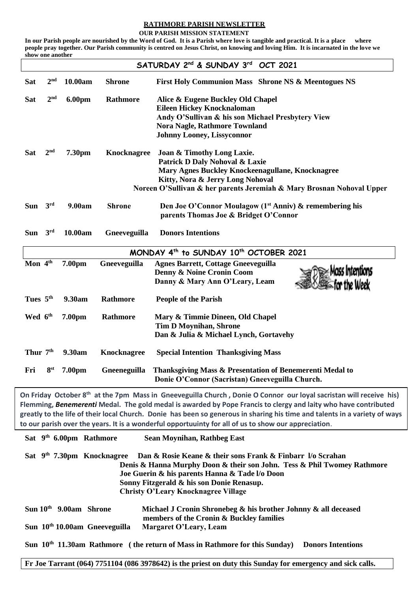## **RATHMORE PARISH NEWSLETTER**

 **OUR PARISH MISSION STATEMENT**

**In our Parish people are nourished by the Word of God. It is a Parish where love is tangible and practical. It is a place where people pray together. Our Parish community is centred on Jesus Christ, on knowing and loving Him. It is incarnated in the love we show one another**

|                                                                                          |                                           |                                     |                    | SATURDAY 2 <sup>nd</sup> & SUNDAY 3 <sup>rd</sup> OCT 2021                                                                                                                                                                         |  |
|------------------------------------------------------------------------------------------|-------------------------------------------|-------------------------------------|--------------------|------------------------------------------------------------------------------------------------------------------------------------------------------------------------------------------------------------------------------------|--|
| <b>Sat</b>                                                                               | 2 <sup>nd</sup>                           | 10.00am                             | <b>Shrone</b>      | First Holy Communion Mass Shrone NS & Meentogues NS                                                                                                                                                                                |  |
| <b>Sat</b>                                                                               | 2 <sup>nd</sup>                           | <b>6.00pm</b>                       | Rathmore           | Alice & Eugene Buckley Old Chapel                                                                                                                                                                                                  |  |
|                                                                                          |                                           |                                     |                    | <b>Eileen Hickey Knocknaloman</b>                                                                                                                                                                                                  |  |
|                                                                                          |                                           |                                     |                    | Andy O'Sullivan & his son Michael Presbytery View                                                                                                                                                                                  |  |
|                                                                                          |                                           |                                     |                    | <b>Nora Nagle, Rathmore Townland</b>                                                                                                                                                                                               |  |
|                                                                                          |                                           |                                     |                    | <b>Johnny Looney, Lissyconnor</b>                                                                                                                                                                                                  |  |
| <b>Sat</b>                                                                               | 2 <sup>nd</sup>                           | 7.30pm                              | <b>Knocknagree</b> | Joan & Timothy Long Laxie.                                                                                                                                                                                                         |  |
|                                                                                          |                                           |                                     |                    | Patrick D Daly Nohoval & Laxie                                                                                                                                                                                                     |  |
|                                                                                          |                                           |                                     |                    | Mary Agnes Buckley Knockeenagullane, Knocknagree                                                                                                                                                                                   |  |
|                                                                                          |                                           |                                     |                    | Kitty, Nora & Jerry Long Nohoval                                                                                                                                                                                                   |  |
|                                                                                          |                                           |                                     |                    | Noreen O'Sullivan & her parents Jeremiah & Mary Brosnan Nohoval Upper                                                                                                                                                              |  |
| Sun                                                                                      | 3 <sup>rd</sup>                           | 9.00am                              | <b>Shrone</b>      | Den Joe O'Connor Moulagow (1 <sup>st</sup> Anniv) & remembering his                                                                                                                                                                |  |
|                                                                                          |                                           |                                     |                    | parents Thomas Joe & Bridget O'Connor                                                                                                                                                                                              |  |
| <b>Sun</b>                                                                               | 3 <sup>rd</sup>                           | 10.00am                             | Gneeveguilla       | <b>Donors Intentions</b>                                                                                                                                                                                                           |  |
| MONDAY 4 <sup>th</sup> to SUNDAY 10 <sup>th</sup> OCTOBER 2021                           |                                           |                                     |                    |                                                                                                                                                                                                                                    |  |
| Mon 4th                                                                                  |                                           | 7.00pm                              | Gneeveguilla       | <b>Agnes Barrett, Cottage Gneeveguilla</b>                                                                                                                                                                                         |  |
|                                                                                          |                                           |                                     |                    | Denny & Noine Cronin Coom                                                                                                                                                                                                          |  |
|                                                                                          |                                           |                                     |                    | Danny & Mary Ann O'Leary, Leam                                                                                                                                                                                                     |  |
|                                                                                          |                                           |                                     |                    |                                                                                                                                                                                                                                    |  |
| Tues 5th                                                                                 |                                           | 9.30am                              | Rathmore           | <b>People of the Parish</b>                                                                                                                                                                                                        |  |
| Wed 6 <sup>th</sup>                                                                      |                                           | 7.00pm                              | Rathmore           | Mary & Timmie Dineen, Old Chapel                                                                                                                                                                                                   |  |
|                                                                                          |                                           |                                     |                    | <b>Tim D Moynihan, Shrone</b>                                                                                                                                                                                                      |  |
|                                                                                          |                                           |                                     |                    | Dan & Julia & Michael Lynch, Gortavehy                                                                                                                                                                                             |  |
| Thur 7 <sup>th</sup>                                                                     |                                           | 9.30am                              | <b>Knocknagree</b> | <b>Special Intention Thanksgiving Mass</b>                                                                                                                                                                                         |  |
| Fri                                                                                      | 8 <sup>st</sup>                           | 7.00 <sub>pm</sub>                  | Gneeneguilla       | Thanksgiving Mass & Presentation of Benemerenti Medal to                                                                                                                                                                           |  |
|                                                                                          |                                           |                                     |                    | Donie O'Connor (Sacristan) Gneeveguilla Church.                                                                                                                                                                                    |  |
|                                                                                          |                                           |                                     |                    | On Friday October 8 <sup>th</sup> at the 7pm Mass in Gneeveguilla Church, Donie O Connor our loyal sacristan will receive his)                                                                                                     |  |
|                                                                                          |                                           |                                     |                    | Flemming, Benemerenti Medal. The gold medal is awarded by Pope Francis to clergy and laity who have contributed                                                                                                                    |  |
|                                                                                          |                                           |                                     |                    | greatly to the life of their local Church. Donie has been so generous in sharing his time and talents in a variety of ways<br>to our parish over the years. It is a wonderful opportuuinty for all of us to show our appreciation. |  |
|                                                                                          |                                           |                                     |                    |                                                                                                                                                                                                                                    |  |
|                                                                                          |                                           | Sat 9 <sup>th</sup> 6.00pm Rathmore |                    | <b>Sean Moynihan, Rathbeg East</b>                                                                                                                                                                                                 |  |
| Sat 9th 7.30pm Knocknagree<br>Dan & Rosie Keane & their sons Frank & Finbarr 1/0 Scrahan |                                           |                                     |                    |                                                                                                                                                                                                                                    |  |
| Denis & Hanna Murphy Doon & their son John. Tess & Phil Twomey Rathmore                  |                                           |                                     |                    |                                                                                                                                                                                                                                    |  |
|                                                                                          |                                           |                                     |                    | Joe Guerin & his parents Hanna & Tade I/o Doon                                                                                                                                                                                     |  |
|                                                                                          | Sonny Fitzgerald & his son Donie Renasup. |                                     |                    |                                                                                                                                                                                                                                    |  |
|                                                                                          |                                           |                                     |                    | <b>Christy O'Leary Knocknagree Village</b>                                                                                                                                                                                         |  |
|                                                                                          |                                           | Sun 10 <sup>th</sup> 9.00am Shrone  |                    | Michael J Cronin Shronebeg & his brother Johnny & all deceased                                                                                                                                                                     |  |
|                                                                                          |                                           |                                     |                    | members of the Cronin & Buckley families                                                                                                                                                                                           |  |
| Sun 10 <sup>th</sup> 10.00am Gneeveguilla                                                |                                           |                                     |                    | <b>Margaret O'Leary, Leam</b>                                                                                                                                                                                                      |  |

Sun 10<sup>th</sup> 11.30am Rathmore (the return of Mass in Rathmore for this Sunday) Donors Intentions

**Fr Joe Tarrant (064) 7751104 (086 3978642) is the priest on duty this Sunday for emergency and sick calls.**